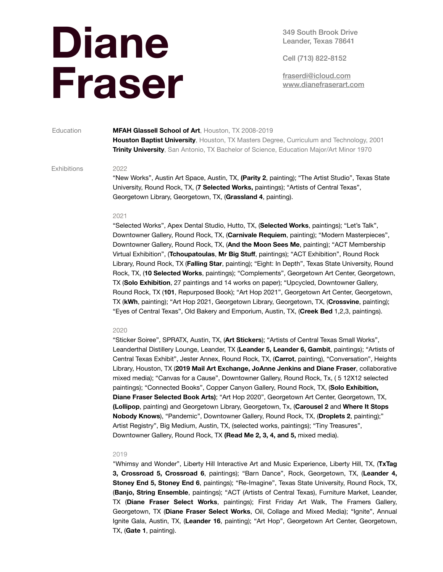# **Diane Fraser**

349 South Brook Drive Leander, Texas 78641

Cell (713) 822-8152

[fraserdi@icloud.com](mailto:fraserdi@icloud.com) [www.dianefraserart.com](http://www.dianefraserart.com)

Education **MFAH Glassell School of Art**, Houston, TX 2008-2019

**Houston Baptist University**, Houston, TX Masters Degree, Curriculum and Technology, 2001 **Trinity University**, San Antonio, TX Bachelor of Science, Education Major/Art Minor 1970

Exhibitions 2022

"New Works", Austin Art Space, Austin, TX, **(Parity 2**, painting); "The Artist Studio", Texas State University, Round Rock, TX, (**7 Selected Works,** paintings); "Artists of Central Texas", Georgetown Library, Georgetown, TX, (**Grassland 4**, painting).

# 2021

"Selected Works", Apex Dental Studio, Hutto, TX, (**Selected Works**, paintings); "Let's Talk", Downtowner Gallery, Round Rock, TX, (**Carnivale Requiem**, painting); "Modern Masterpieces", Downtowner Gallery, Round Rock, TX, (**And the Moon Sees Me**, painting); "ACT Membership Virtual Exhibition", (**Tchoupatoulas**, **Mr Big Stuf**, paintings); "ACT Exhibition", Round Rock Library, Round Rock, TX (**Falling Star**, painting); "Eight: In Depth", Texas State University, Round Rock, TX, (**10 Selected Works**, paintings); "Complements", Georgetown Art Center, Georgetown, TX (**Solo Exhibition**, 27 paintings and 14 works on paper); "Upcycled, Downtowner Gallery, Round Rock, TX (**101**, Repurposed Book); "Art Hop 2021", Georgetown Art Center, Georgetown, TX (**kWh**, painting); "Art Hop 2021, Georgetown Library, Georgetown, TX, (**Crossvine**, painting); "Eyes of Central Texas", Old Bakery and Emporium, Austin, TX, (**Creek Bed** 1,2,3, paintings).

# 2020

"Sticker Soiree", SPRATX, Austin, TX, (**Art Stickers**); "Artists of Central Texas Small Works", Leanderthal Distillery Lounge, Leander, TX (**Leander 5, Leander 6, Gambit**, paintings); "Artists of Central Texas Exhibit", Jester Annex, Round Rock, TX, (**Carrot**, painting), "Conversation", Heights Library, Houston, TX (**2019 Mail Art Exchange, JoAnne Jenkins and Diane Fraser**, collaborative mixed media); "Canvas for a Cause", Downtowner Gallery, Round Rock, Tx, ( 5 12X12 selected paintings); "Connected Books", Copper Canyon Gallery, Round Rock, TX, (**Solo Exhibition, Diane Fraser Selected Book Arts)**; "Art Hop 2020", Georgetown Art Center, Georgetown, TX, **(Lollipop**, painting) and Georgetown Library, Georgetown, Tx, (**Carousel 2** and **Where It Stops Nobody Knows**), "Pandemic", Downtowner Gallery, Round Rock, TX, (**Droplets 2**, painting);" Artist Registry", Big Medium, Austin, TX, (selected works, paintings); "Tiny Treasures", Downtowner Gallery, Round Rock, TX **(Read Me 2, 3, 4, and 5,** mixed media).

# 2019

"Whimsy and Wonder", Liberty Hill Interactive Art and Music Experience, Liberty Hill, TX, (**TxTag 3, Crossroad 5, Crossroad 6**, paintings); "Barn Dance", Rock, Georgetown, TX, (**Leander 4, Stoney End 5, Stoney End 6**, paintings); "Re-Imagine", Texas State University, Round Rock, TX, (**Banjo, String Ensemble**, paintings); "ACT (Artists of Central Texas), Furniture Market, Leander, TX (**Diane Fraser Select Works**, paintings); First Friday Art Walk, The Framers Gallery, Georgetown, TX (**Diane Fraser Select Works**, Oil, Collage and Mixed Media); "Ignite", Annual Ignite Gala, Austin, TX, (**Leander 16**, painting); "Art Hop", Georgetown Art Center, Georgetown, TX, (**Gate 1**, painting).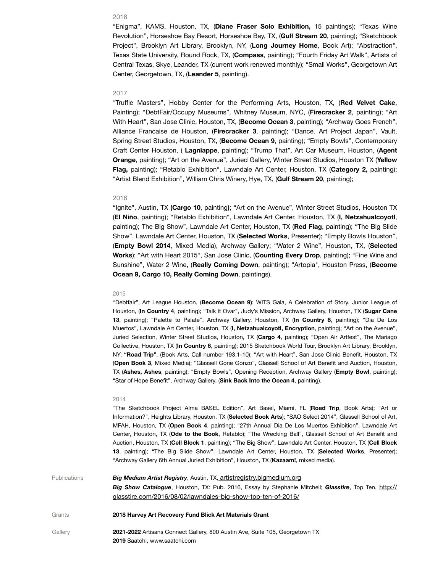### 2018

"Enigma", KAMS, Houston, TX, (**Diane Fraser Solo Exhibition,** 15 paintings); "Texas Wine Revolution", Horseshoe Bay Resort, Horseshoe Bay, TX, (**Gulf Stream 20**, painting); "Sketchbook Project", Brooklyn Art Library, Brooklyn, NY, (**Long Journey Home**, Book Art); "Abstraction", Texas State University, Round Rock, TX, (**Compass**, painting); "Fourth Friday Art Walk", Artists of Central Texas, Skye, Leander, TX (current work renewed monthly); "Small Works", Georgetown Art Center, Georgetown, TX, (**Leander 5**, painting).

#### 2017

"Truffle Masters", Hobby Center for the Performing Arts, Houston, TX, (**Red Velvet Cake**, Painting); "DebtFair/Occupy Museums", Whitney Museum, NYC, (**Firecracker 2**, painting); "Art With Heart", San Jose Clinic, Houston, TX, (**Become Ocean 3**, painting); "Archway Goes French", Alliance Francaise de Houston, (**Firecracker 3**, painting); "Dance. Art Project Japan", Vault, Spring Street Studios, Houston, TX, (**Become Ocean 9**, painting); "Empty Bowls", Contemporary Craft Center Houston, ( **Lagniappe**, painting); "Trump That", Art Car Museum, Houston, (**Agent Orange**, painting); "Art on the Avenue", Juried Gallery, Winter Street Studios, Houston TX (**Yellow Flag,** painting); "Retablo Exhibition", Lawndale Art Center, Houston, TX (**Category 2,** painting); "Artist Blend Exhibition", William Chris Winery, Hye, TX, (**Gulf Stream 20**, painting);

#### 2016

"Ignite", Austin, TX **(Cargo 10**, painting**)**; "Art on the Avenue", Winter Street Studios, Houston TX (**El Niño**, painting); "Retablo Exhibition", Lawndale Art Center, Houston, TX (**I, Netzahualcoyotl**, painting); The Big Show", Lawndale Art Center, Houston, TX (**Red Flag**, painting); "The Big Slide Show", Lawndale Art Center, Houston, TX (**Selected Works**, Presenter); "Empty Bowls Houston", (**Empty Bowl 2014**, Mixed Media), Archway Gallery; "Water 2 Wine", Houston, TX, (**Selected Works**); "Art with Heart 2015", San Jose Clinic, (**Counting Every Drop**, painting); "Fine Wine and Sunshine", Water 2 Wine, (**Really Coming Down**, painting); "Artopia", Houston Press, (**Become Ocean 9, Cargo 10, Really Coming Down**, paintings).

#### 2015

"Debtfair", Art League Houston, (**Become Ocean 9)**; WITS Gala, A Celebration of Story, Junior League of Houston, (**In Country 4**, painting); "Talk it Ovar", Judy's Mission, Archway Gallery, Houston, TX (**Sugar Cane 13**, painting); "Palette to Palate", Archway Gallery, Houston, TX (**In Country 6**, painting); "Dia De Los Muertos", Lawndale Art Center, Houston, TX (**I, Netzahualcoyotl, Encryption**, painting); "Art on the Avenue", Juried Selection, Winter Street Studios, Houston, TX (**Cargo 4**, painting); "Open Air Artfest", The Mariago Collective, Houston, TX (**In Country 6**, painting); 2015 Sketchbook World Tour, Brooklyn Art Library, Brooklyn, NY; **"Road Trip"**, (Book Arts, Call number 193.1-10); "Art with Heart", San Jose Clinic Benefit, Houston, TX (**Open Book 3**, Mixed Media); "Glassell Gone Gonzo", Glassell School of Art Benefit and Auction, Houston, TX (**Ashes, Ashes**, painting); "Empty Bowls", Opening Reception, Archway Gallery (**Empty Bowl**, painting); "Star of Hope Benefit", Archway Gallery, (**Sink Back Into the Ocean 4**, painting).

#### 2014

"The Sketchbook Project Alma BASEL Edition", Art Basel, Miami, FL (**Road Trip**, Book Arts); "Art or Information?", Heights Library, Houston, TX (**Selected Book Arts**); "SAO Select 2014", Glassell School of Art, MFAH, Houston, TX (**Open Book 4**, painting); "27th Annual Dia De Los Muertos Exhibition", Lawndale Art Center, Houston, TX (**Ode to the Book**, Retablo); "The Wrecking Ball", Glassell School of Art Benefit and Auction, Houston, TX (**Cell Block 1**, painting); "The Big Show", Lawndale Art Center, Houston, TX (**Cell Block 13**, painting); "The Big Slide Show", Lawndale Art Center, Houston, TX (**Selected Works**, Presenter); "Archway Gallery 6th Annual Juried Exhibition", Houston, TX (**Kazaam!**, mixed media).

#### Publications *Big Medium Artist Registry*, Austin, TX, [artistregistry.bigmedium.org](https://artistregistry.bigmedium.org)

*Big Show Catalogue*, Houston, TX: Pub. 2016, Essay by Stephanie Mitchell; *Glasstire*, Top Ten, [http://](http://glasstire.com/2016/08/02/lawndales-big-show-top-ten-of-2016/) [glasstire.com/2016/08/02/lawndales-big-show-top-ten-of-2016/](http://glasstire.com/2016/08/02/lawndales-big-show-top-ten-of-2016/)

#### Grants **2018 Harvey Art Recovery Fund Blick Art Materials Grant**

Gallery **2021-2022** Artisans Connect Gallery, 800 Austin Ave, Suite 105, Georgetown TX **2019** Saatchi, www.saatchi.com